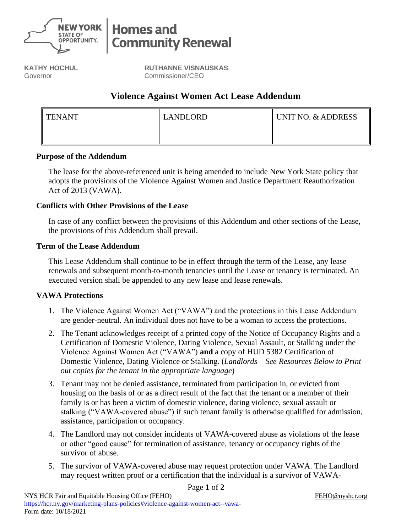

# **Homes and Community Renewal**

**KATHY HOCHUL** Governor

**RUTHANNE VISNAUSKAS** Commissioner/CEO

# **Violence Against Women Act Lease Addendum**

| <b>TENANT</b> | LANDLORD | UNIT NO. & ADDRESS |
|---------------|----------|--------------------|
|               |          |                    |

## **Purpose of the Addendum**

The lease for the above-referenced unit is being amended to include New York State policy that adopts the provisions of the Violence Against Women and Justice Department Reauthorization Act of 2013 (VAWA).

## **Conflicts with Other Provisions of the Lease**

In case of any conflict between the provisions of this Addendum and other sections of the Lease, the provisions of this Addendum shall prevail.

#### **Term of the Lease Addendum**

This Lease Addendum shall continue to be in effect through the term of the Lease, any lease renewals and subsequent month-to-month tenancies until the Lease or tenancy is terminated. An executed version shall be appended to any new lease and lease renewals.

## **VAWA Protections**

- 1. The Violence Against Women Act ("VAWA") and the protections in this Lease Addendum are gender-neutral. An individual does not have to be a woman to access the protections.
- 2. The Tenant acknowledges receipt of a printed copy of the Notice of Occupancy Rights and a Certification of Domestic Violence, Dating Violence, Sexual Assault, or Stalking under the Violence Against Women Act ("VAWA") **and** a copy of HUD 5382 Certification of Domestic Violence, Dating Violence or Stalking. (*Landlords – See Resources Below to Print out copies for the tenant in the appropriate language*)
- 3. Tenant may not be denied assistance, terminated from participation in, or evicted from housing on the basis of or as a direct result of the fact that the tenant or a member of their family is or has been a victim of domestic violence, dating violence, sexual assault or stalking ("VAWA-covered abuse") if such tenant family is otherwise qualified for admission, assistance, participation or occupancy.
- 4. The Landlord may not consider incidents of VAWA-covered abuse as violations of the lease or other "good cause" for termination of assistance, tenancy or occupancy rights of the survivor of abuse.
- 5. The survivor of VAWA-covered abuse may request protection under VAWA. The Landlord may request written proof or a certification that the individual is a survivor of VAWA-